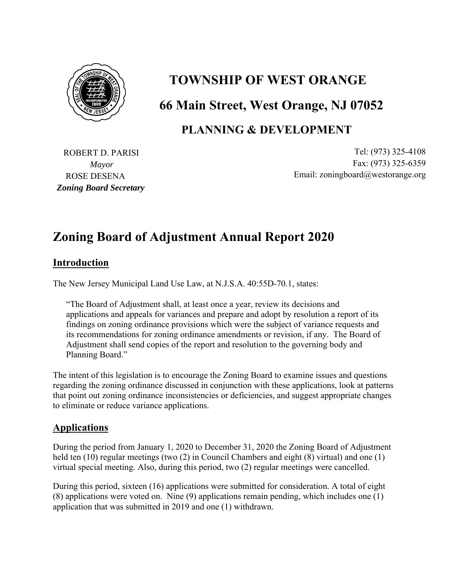

# **TOWNSHIP OF WEST ORANGE 66 Main Street, West Orange, NJ 07052**

### **PLANNING & DEVELOPMENT**

ROSE DESENA *Zoning Board Secretary* 

ROBERT D. PARISI Tel: (973) 325-4108 *Mayor* Fax: (973) 325-6359 Email: zoningboard@westorange.org

## **Zoning Board of Adjustment Annual Report 2020**

#### **Introduction**

The New Jersey Municipal Land Use Law, at N.J.S.A. 40:55D-70.1, states:

"The Board of Adjustment shall, at least once a year, review its decisions and applications and appeals for variances and prepare and adopt by resolution a report of its findings on zoning ordinance provisions which were the subject of variance requests and its recommendations for zoning ordinance amendments or revision, if any. The Board of Adjustment shall send copies of the report and resolution to the governing body and Planning Board."

The intent of this legislation is to encourage the Zoning Board to examine issues and questions regarding the zoning ordinance discussed in conjunction with these applications, look at patterns that point out zoning ordinance inconsistencies or deficiencies, and suggest appropriate changes to eliminate or reduce variance applications.

#### **Applications**

During the period from January 1, 2020 to December 31, 2020 the Zoning Board of Adjustment held ten (10) regular meetings (two (2) in Council Chambers and eight (8) virtual) and one (1) virtual special meeting. Also, during this period, two (2) regular meetings were cancelled.

During this period, sixteen (16) applications were submitted for consideration. A total of eight (8) applications were voted on. Nine (9) applications remain pending, which includes one (1) application that was submitted in 2019 and one (1) withdrawn.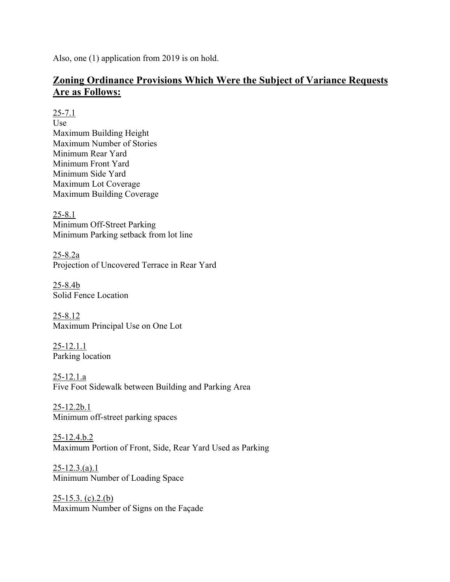Also, one (1) application from 2019 is on hold.

#### **Zoning Ordinance Provisions Which Were the Subject of Variance Requests Are as Follows:**

25-7.1

Use Maximum Building Height Maximum Number of Stories Minimum Rear Yard Minimum Front Yard Minimum Side Yard Maximum Lot Coverage Maximum Building Coverage

25-8.1 Minimum Off-Street Parking Minimum Parking setback from lot line

25-8.2a Projection of Uncovered Terrace in Rear Yard

25-8.4b Solid Fence Location

25-8.12 Maximum Principal Use on One Lot

25-12.1.1 Parking location

25-12.1.a Five Foot Sidewalk between Building and Parking Area

 $25 - 12.2b.1$ Minimum off-street parking spaces

25-12.4.b.2 Maximum Portion of Front, Side, Rear Yard Used as Parking

 $25 - 12.3$ .(a).1 Minimum Number of Loading Space

 $25-15.3. (c).2.(b)$ Maximum Number of Signs on the Façade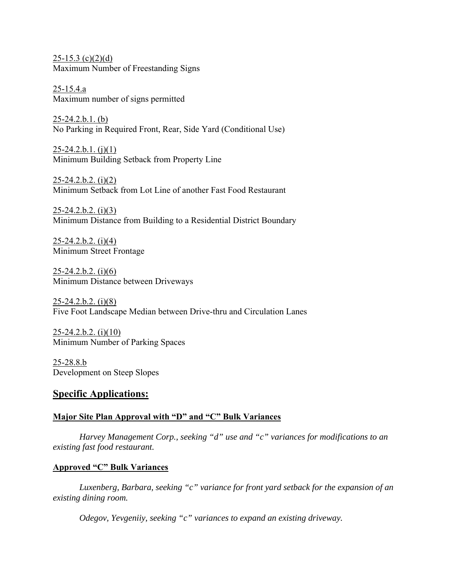$25-15.3$  (c)(2)(d) Maximum Number of Freestanding Signs

25-15.4.a Maximum number of signs permitted

25-24.2.b.1. (b) No Parking in Required Front, Rear, Side Yard (Conditional Use)

 $25 - 24.2 \cdot b \cdot 1.$  (j)(1) Minimum Building Setback from Property Line

 $25 - 24.2 \cdot b.2.$  (i)(2) Minimum Setback from Lot Line of another Fast Food Restaurant

 $25 - 24.2 \cdot b \cdot 2.$  (i)(3) Minimum Distance from Building to a Residential District Boundary

 $25 - 24.2 \cdot b.2.$  (i)(4) Minimum Street Frontage

 $25 - 24.2 \cdot b \cdot 2.$  (i)(6) Minimum Distance between Driveways

 $25 - 24.2 \cdot b.2.$  (i)(8) Five Foot Landscape Median between Drive-thru and Circulation Lanes

 $25 - 24.2 \cdot b \cdot 2.$  (i)(10) Minimum Number of Parking Spaces

25-28.8.b Development on Steep Slopes

#### **Specific Applications:**

#### **Major Site Plan Approval with "D" and "C" Bulk Variances**

 *Harvey Management Corp., seeking "d" use and "c" variances for modifications to an existing fast food restaurant.* 

#### **Approved "C" Bulk Variances**

*Luxenberg, Barbara, seeking "c" variance for front yard setback for the expansion of an existing dining room.* 

 *Odegov, Yevgeniiy, seeking "c" variances to expand an existing driveway.*